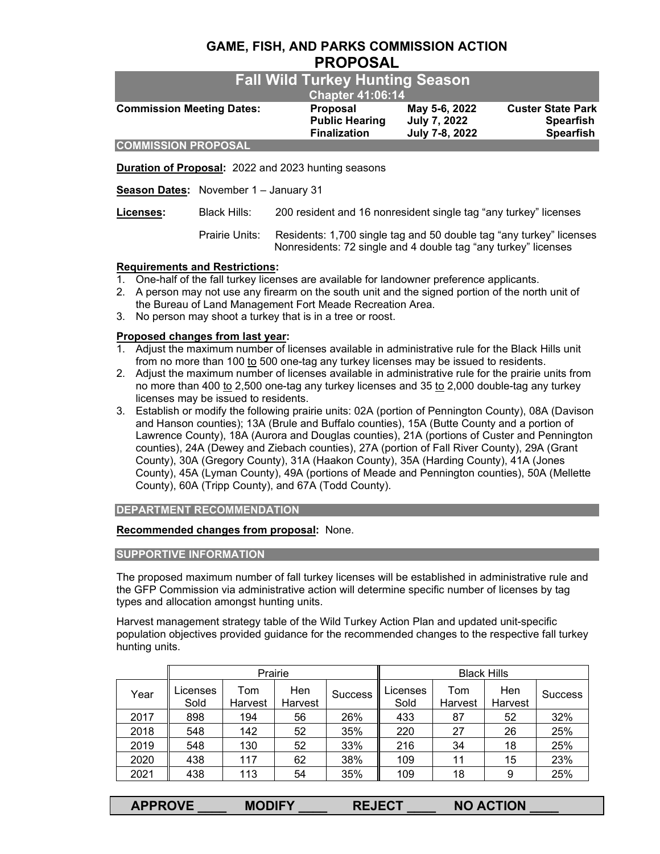# **GAME, FISH, AND PARKS COMMISSION ACTION PROPOSAL**

| <b>Fall Wild Turkey Hunting Season</b><br><b>Chapter 41:06:14</b> |                                                          |                                                        |                                                                  |  |
|-------------------------------------------------------------------|----------------------------------------------------------|--------------------------------------------------------|------------------------------------------------------------------|--|
| <b>Commission Meeting Dates:</b>                                  | Proposal<br><b>Public Hearing</b><br><b>Finalization</b> | May 5-6, 2022<br><b>July 7, 2022</b><br>July 7-8, 2022 | <b>Custer State Park</b><br><b>Spearfish</b><br><b>Spearfish</b> |  |
| <b>COMMISSION PROPOSAL</b>                                        |                                                          |                                                        |                                                                  |  |

**Duration of Proposal:** 2022 and 2023 hunting seasons

**Season Dates:** November 1 – January 31

**Licenses:** Black Hills: 200 resident and 16 nonresident single tag "any turkey" licenses

 Prairie Units: Residents: 1,700 single tag and 50 double tag "any turkey" licenses Nonresidents: 72 single and 4 double tag "any turkey" licenses

# **Requirements and Restrictions:**

- 1. One-half of the fall turkey licenses are available for landowner preference applicants.
- 2. A person may not use any firearm on the south unit and the signed portion of the north unit of the Bureau of Land Management Fort Meade Recreation Area.
- 3. No person may shoot a turkey that is in a tree or roost.

# **Proposed changes from last year:**

- 1. Adjust the maximum number of licenses available in administrative rule for the Black Hills unit from no more than 100 to 500 one-tag any turkey licenses may be issued to residents.
- 2. Adjust the maximum number of licenses available in administrative rule for the prairie units from no more than 400 to 2,500 one-tag any turkey licenses and 35 to 2,000 double-tag any turkey licenses may be issued to residents.
- 3. Establish or modify the following prairie units: 02A (portion of Pennington County), 08A (Davison and Hanson counties); 13A (Brule and Buffalo counties), 15A (Butte County and a portion of Lawrence County), 18A (Aurora and Douglas counties), 21A (portions of Custer and Pennington counties), 24A (Dewey and Ziebach counties), 27A (portion of Fall River County), 29A (Grant County), 30A (Gregory County), 31A (Haakon County), 35A (Harding County), 41A (Jones County), 45A (Lyman County), 49A (portions of Meade and Pennington counties), 50A (Mellette County), 60A (Tripp County), and 67A (Todd County).

# **DEPARTMENT RECOMMENDATION**

# **Recommended changes from proposal:** None.

# **SUPPORTIVE INFORMATION**

The proposed maximum number of fall turkey licenses will be established in administrative rule and the GFP Commission via administrative action will determine specific number of licenses by tag types and allocation amongst hunting units.

Harvest management strategy table of the Wild Turkey Action Plan and updated unit-specific population objectives provided guidance for the recommended changes to the respective fall turkey hunting units.

|      | Prairie          |                |                | <b>Black Hills</b> |                  |                |                       |                |
|------|------------------|----------------|----------------|--------------------|------------------|----------------|-----------------------|----------------|
| Year | .icenses<br>Sold | Tom<br>Harvest | Hen<br>Harvest | <b>Success</b>     | Licenses<br>Sold | Tom<br>Harvest | <b>Hen</b><br>Harvest | <b>Success</b> |
| 2017 | 898              | 194            | 56             | 26%                | 433              | 87             | 52                    | 32%            |
| 2018 | 548              | 142            | 52             | 35%                | 220              | 27             | 26                    | 25%            |
| 2019 | 548              | 130            | 52             | 33%                | 216              | 34             | 18                    | 25%            |
| 2020 | 438              | 117            | 62             | 38%                | 109              | 11             | 15                    | 23%            |
| 2021 | 438              | 113            | 54             | 35%                | 109              | 18             | 9                     | 25%            |

| <b>APPROVE</b> | <b>MODIFY</b> | <b>REJECT</b> | <b>NO ACTION</b> |
|----------------|---------------|---------------|------------------|
|----------------|---------------|---------------|------------------|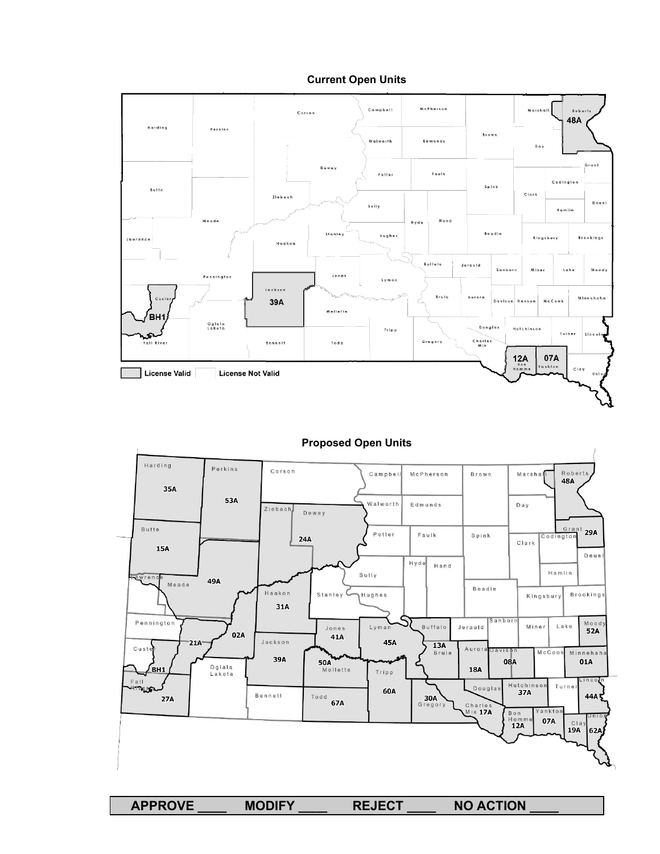





# **Proposed Open Units**

**APPROVE \_\_\_\_ MODIFY \_\_\_\_ REJECT \_\_\_\_ NO ACTION \_\_\_\_**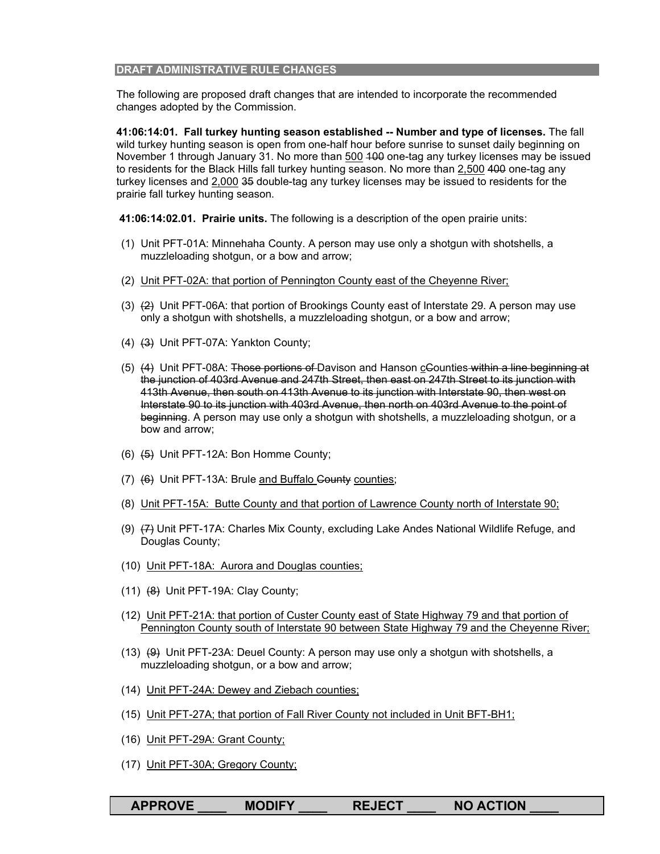#### **DRAFT ADMINISTRATIVE RULE CHANGES**

The following are proposed draft changes that are intended to incorporate the recommended changes adopted by the Commission.

**41:06:14:01. Fall turkey hunting season established -- Number and type of licenses.** The fall wild turkey hunting season is open from one-half hour before sunrise to sunset daily beginning on November 1 through January 31. No more than 500 400 one-tag any turkey licenses may be issued to residents for the Black Hills fall turkey hunting season. No more than 2,500 400 one-tag any turkey licenses and 2,000 35 double-tag any turkey licenses may be issued to residents for the prairie fall turkey hunting season.

**41:06:14:02.01. Prairie units.** The following is a description of the open prairie units:

- (1) Unit PFT-01A: Minnehaha County. A person may use only a shotgun with shotshells, a muzzleloading shotgun, or a bow and arrow;
- (2) Unit PFT-02A: that portion of Pennington County east of the Cheyenne River;
- (3)  $(2)$  Unit PFT-06A: that portion of Brookings County east of Interstate 29. A person may use only a shotgun with shotshells, a muzzleloading shotgun, or a bow and arrow;
- (4) (3) Unit PFT-07A: Yankton County;
- (5) (4) Unit PFT-08A: Those portions of Davison and Hanson cCounties within a line beginning at the junction of 403rd Avenue and 247th Street, then east on 247th Street to its junction with 413th Avenue, then south on 413th Avenue to its junction with Interstate 90, then west on Interstate 90 to its junction with 403rd Avenue, then north on 403rd Avenue to the point of beginning. A person may use only a shotgun with shotshells, a muzzleloading shotgun, or a bow and arrow;
- (6) (5) Unit PFT-12A: Bon Homme County;
- (7) (6) Unit PFT-13A: Brule and Buffalo County counties;
- (8) Unit PFT-15A: Butte County and that portion of Lawrence County north of Interstate 90;
- (9) (7) Unit PFT-17A: Charles Mix County, excluding Lake Andes National Wildlife Refuge, and Douglas County;
- (10) Unit PFT-18A: Aurora and Douglas counties;
- (11) (8) Unit PFT-19A: Clay County;
- (12) Unit PFT-21A: that portion of Custer County east of State Highway 79 and that portion of Pennington County south of Interstate 90 between State Highway 79 and the Cheyenne River;
- (13)  $(9)$  Unit PFT-23A: Deuel County: A person may use only a shotgun with shotshells, a muzzleloading shotgun, or a bow and arrow;
- (14) Unit PFT-24A: Dewey and Ziebach counties;
- (15) Unit PFT-27A; that portion of Fall River County not included in Unit BFT-BH1;
- (16) Unit PFT-29A: Grant County;
- (17) Unit PFT-30A; Gregory County;

| <b>APPROVE</b> | <b>MODIFY</b> | <b>REJECT</b> | <b>NO ACTION</b> |
|----------------|---------------|---------------|------------------|
|                |               |               |                  |